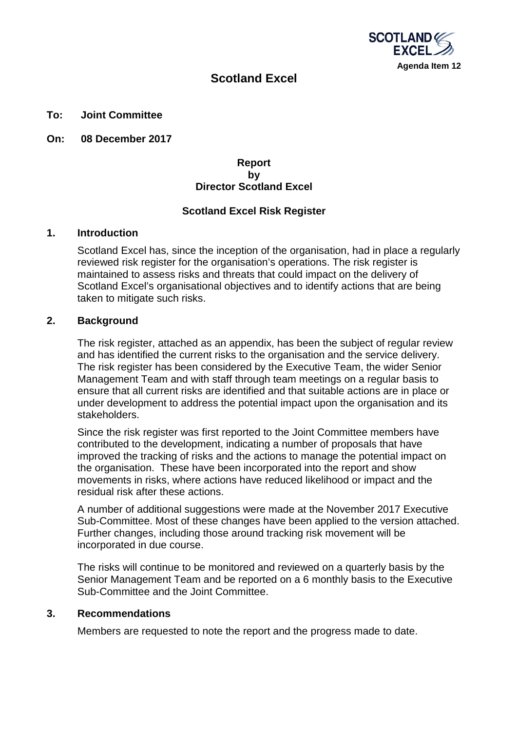

# **Scotland Excel**

### **To: Joint Committee**

**On: 08 December 2017**

## **Report by Director Scotland Excel**

## **Scotland Excel Risk Register**

### **1. Introduction**

Scotland Excel has, since the inception of the organisation, had in place a regularly reviewed risk register for the organisation's operations. The risk register is maintained to assess risks and threats that could impact on the delivery of Scotland Excel's organisational objectives and to identify actions that are being taken to mitigate such risks.

### **2. Background**

The risk register, attached as an appendix, has been the subject of regular review and has identified the current risks to the organisation and the service delivery. The risk register has been considered by the Executive Team, the wider Senior Management Team and with staff through team meetings on a regular basis to ensure that all current risks are identified and that suitable actions are in place or under development to address the potential impact upon the organisation and its stakeholders.

Since the risk register was first reported to the Joint Committee members have contributed to the development, indicating a number of proposals that have improved the tracking of risks and the actions to manage the potential impact on the organisation. These have been incorporated into the report and show movements in risks, where actions have reduced likelihood or impact and the residual risk after these actions.

A number of additional suggestions were made at the November 2017 Executive Sub-Committee. Most of these changes have been applied to the version attached. Further changes, including those around tracking risk movement will be incorporated in due course.

The risks will continue to be monitored and reviewed on a quarterly basis by the Senior Management Team and be reported on a 6 monthly basis to the Executive Sub-Committee and the Joint Committee.

## **3. Recommendations**

Members are requested to note the report and the progress made to date.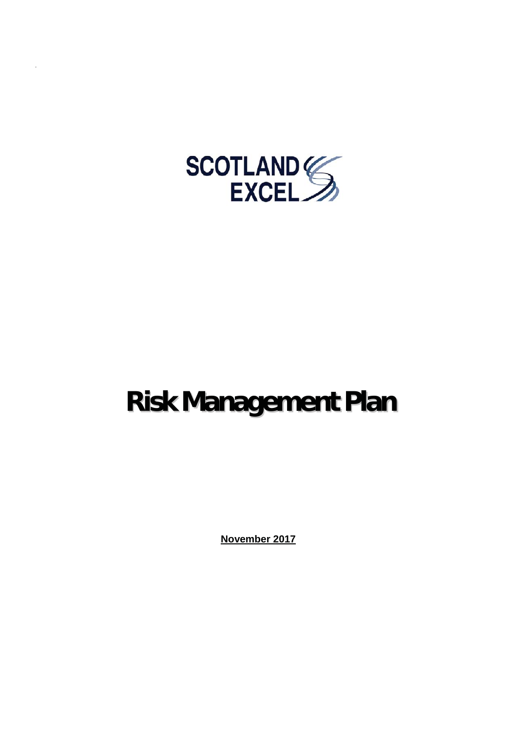

# **Risk Management Plan**

**November 2017**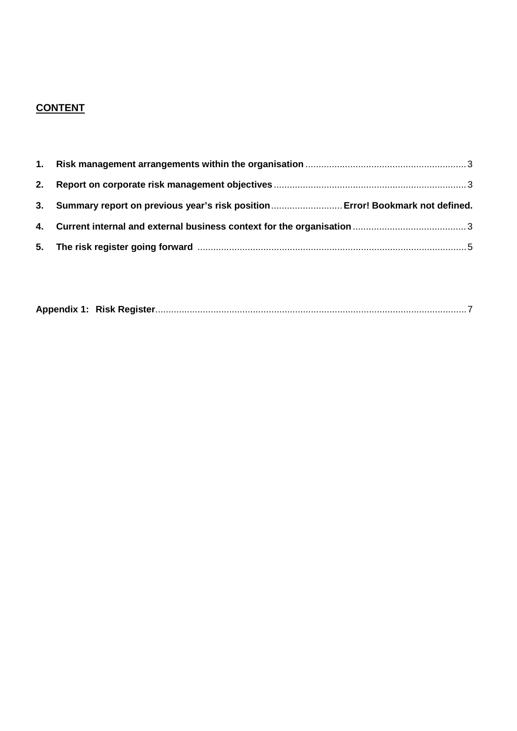# **CONTENT**

| 3. Summary report on previous year's risk position Error! Bookmark not defined. |  |
|---------------------------------------------------------------------------------|--|
|                                                                                 |  |
|                                                                                 |  |

|--|--|--|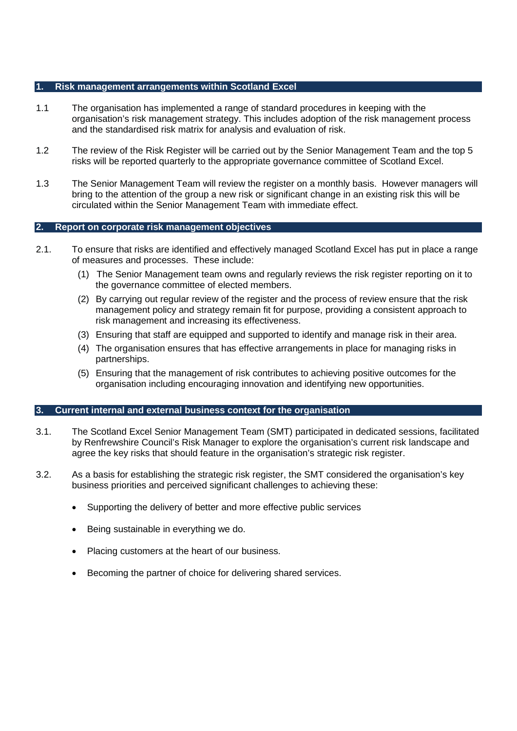### **1. Risk management arrangements within Scotland Excel**

- 1.1 The organisation has implemented a range of standard procedures in keeping with the organisation's risk management strategy. This includes adoption of the risk management process and the standardised risk matrix for analysis and evaluation of risk.
- 1.2 The review of the Risk Register will be carried out by the Senior Management Team and the top 5 risks will be reported quarterly to the appropriate governance committee of Scotland Excel.
- 1.3 The Senior Management Team will review the register on a monthly basis. However managers will bring to the attention of the group a new risk or significant change in an existing risk this will be circulated within the Senior Management Team with immediate effect.

### **2. Report on corporate risk management objectives**

- 2.1. To ensure that risks are identified and effectively managed Scotland Excel has put in place a range of measures and processes. These include:
	- (1) The Senior Management team owns and regularly reviews the risk register reporting on it to the governance committee of elected members.
	- (2) By carrying out regular review of the register and the process of review ensure that the risk management policy and strategy remain fit for purpose, providing a consistent approach to risk management and increasing its effectiveness.
	- (3) Ensuring that staff are equipped and supported to identify and manage risk in their area.
	- (4) The organisation ensures that has effective arrangements in place for managing risks in partnerships.
	- (5) Ensuring that the management of risk contributes to achieving positive outcomes for the organisation including encouraging innovation and identifying new opportunities.

#### **3. Current internal and external business context for the organisation**

- 3.1. The Scotland Excel Senior Management Team (SMT) participated in dedicated sessions, facilitated by Renfrewshire Council's Risk Manager to explore the organisation's current risk landscape and agree the key risks that should feature in the organisation's strategic risk register.
- 3.2. As a basis for establishing the strategic risk register, the SMT considered the organisation's key business priorities and perceived significant challenges to achieving these:
	- Supporting the delivery of better and more effective public services
	- Being sustainable in everything we do.
	- Placing customers at the heart of our business.
	- **EXECOMED EXECOMED EXECOM** Becoming the partner of choice for delivering shared services.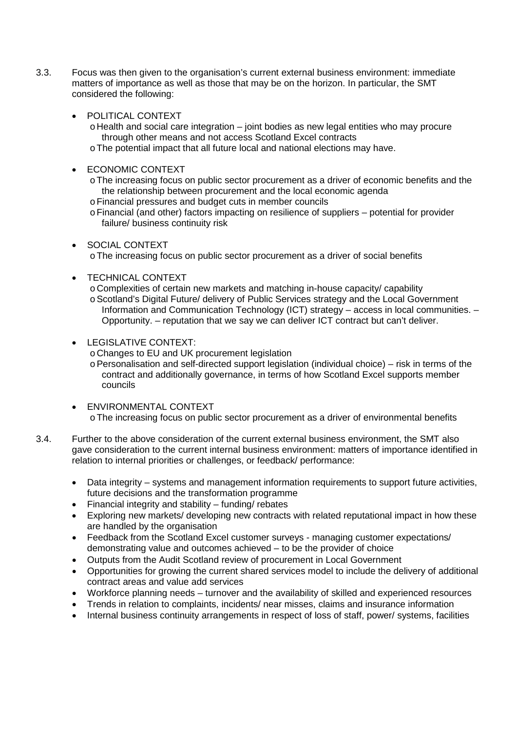- 3.3. Focus was then given to the organisation's current external business environment: immediate matters of importance as well as those that may be on the horizon. In particular, the SMT considered the following:
	- POLITICAL CONTEXT
		- $\circ$  Health and social care integration joint bodies as new legal entities who may procure through other means and not access Scotland Excel contracts
		- oThe potential impact that all future local and national elections may have.
	- ECONOMIC CONTEXT
		- oThe increasing focus on public sector procurement as a driver of economic benefits and the the relationship between procurement and the local economic agenda
		- oFinancial pressures and budget cuts in member councils
		- oFinancial (and other) factors impacting on resilience of suppliers potential for provider failure/ business continuity risk
	- x SOCIAL CONTEXT
		- oThe increasing focus on public sector procurement as a driver of social benefits
	- TECHNICAL CONTEXT
		- oComplexities of certain new markets and matching in-house capacity/ capability
		- oScotland's Digital Future/ delivery of Public Services strategy and the Local Government Information and Communication Technology (ICT) strategy – access in local communities. – Opportunity. – reputation that we say we can deliver ICT contract but can't deliver.
	- LEGISLATIVE CONTEXT:
		- oChanges to EU and UK procurement legislation
		- oPersonalisation and self-directed support legislation (individual choice) risk in terms of the contract and additionally governance, in terms of how Scotland Excel supports member councils
	- **ENVIRONMENTAL CONTEXT**

oThe increasing focus on public sector procurement as a driver of environmental benefits

- 3.4. Further to the above consideration of the current external business environment, the SMT also gave consideration to the current internal business environment: matters of importance identified in relation to internal priorities or challenges, or feedback/ performance:
	- Data integrity systems and management information requirements to support future activities, future decisions and the transformation programme
	- Financial integrity and stability  $-$  funding/ rebates
	- Exploring new markets/ developing new contracts with related reputational impact in how these are handled by the organisation
	- Feedback from the Scotland Excel customer surveys managing customer expectations/ demonstrating value and outcomes achieved – to be the provider of choice
	- Outputs from the Audit Scotland review of procurement in Local Government
	- Opportunities for growing the current shared services model to include the delivery of additional contract areas and value add services
	- Workforce planning needs turnover and the availability of skilled and experienced resources
	- x Trends in relation to complaints, incidents/ near misses, claims and insurance information
	- Internal business continuity arrangements in respect of loss of staff, power/ systems, facilities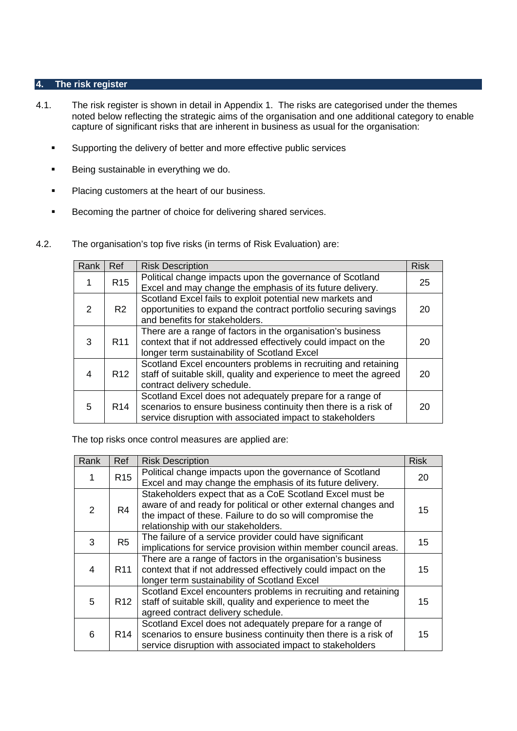### **4. The risk register**

- 4.1. The risk register is shown in detail in Appendix 1. The risks are categorised under the themes noted below reflecting the strategic aims of the organisation and one additional category to enable capture of significant risks that are inherent in business as usual for the organisation:
	- **Supporting the delivery of better and more effective public services**
	- Being sustainable in everything we do.
	- **Placing customers at the heart of our business.**
	- **Becoming the partner of choice for delivering shared services.**
- 4.2. The organisation's top five risks (in terms of Risk Evaluation) are:

| Rank          | <b>Ref</b>      | <b>Risk Description</b>                                                                                                                                                                   | <b>Risk</b> |
|---------------|-----------------|-------------------------------------------------------------------------------------------------------------------------------------------------------------------------------------------|-------------|
|               | R <sub>15</sub> | Political change impacts upon the governance of Scotland<br>Excel and may change the emphasis of its future delivery.                                                                     | 25          |
| $\mathcal{P}$ | R2              | Scotland Excel fails to exploit potential new markets and<br>opportunities to expand the contract portfolio securing savings<br>and benefits for stakeholders.                            | 20          |
| 3             | R <sub>11</sub> | There are a range of factors in the organisation's business<br>context that if not addressed effectively could impact on the<br>longer term sustainability of Scotland Excel              | 20          |
| 4             | R <sub>12</sub> | Scotland Excel encounters problems in recruiting and retaining<br>staff of suitable skill, quality and experience to meet the agreed<br>contract delivery schedule.                       | 20          |
| 5             | R <sub>14</sub> | Scotland Excel does not adequately prepare for a range of<br>scenarios to ensure business continuity then there is a risk of<br>service disruption with associated impact to stakeholders | 20          |

The top risks once control measures are applied are:

| Rank          | Ref             | <b>Risk Description</b>                                                                                                                                                                                                        | <b>Risk</b> |
|---------------|-----------------|--------------------------------------------------------------------------------------------------------------------------------------------------------------------------------------------------------------------------------|-------------|
|               | R <sub>15</sub> | Political change impacts upon the governance of Scotland<br>Excel and may change the emphasis of its future delivery.                                                                                                          | 20          |
| $\mathcal{P}$ | R <sub>4</sub>  | Stakeholders expect that as a CoE Scotland Excel must be<br>aware of and ready for political or other external changes and<br>the impact of these. Failure to do so will compromise the<br>relationship with our stakeholders. | 15          |
| 3             | R <sub>5</sub>  | The failure of a service provider could have significant<br>implications for service provision within member council areas.                                                                                                    | 15          |
| 4             | R <sub>11</sub> | There are a range of factors in the organisation's business<br>context that if not addressed effectively could impact on the<br>longer term sustainability of Scotland Excel                                                   | 15          |
| 5             | R <sub>12</sub> | Scotland Excel encounters problems in recruiting and retaining<br>staff of suitable skill, quality and experience to meet the<br>agreed contract delivery schedule.                                                            | 15          |
| 6             | R <sub>14</sub> | Scotland Excel does not adequately prepare for a range of<br>scenarios to ensure business continuity then there is a risk of<br>service disruption with associated impact to stakeholders                                      | 15          |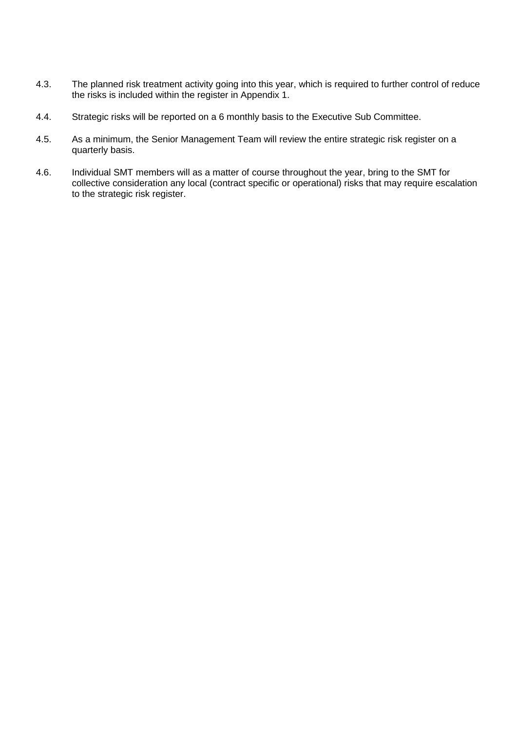- 4.3. The planned risk treatment activity going into this year, which is required to further control of reduce the risks is included within the register in Appendix 1.
- 4.4. Strategic risks will be reported on a 6 monthly basis to the Executive Sub Committee.
- 4.5. As a minimum, the Senior Management Team will review the entire strategic risk register on a quarterly basis.
- 4.6. Individual SMT members will as a matter of course throughout the year, bring to the SMT for collective consideration any local (contract specific or operational) risks that may require escalation to the strategic risk register.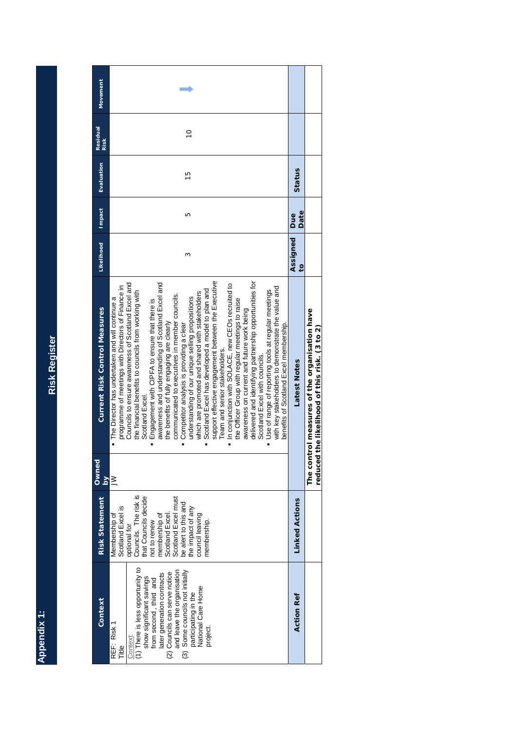Appendix 1: **Appendix 1:**

**Risk Register Risk Register**

| Movement                             |                                                                                                                                                                                                                                                                                                                                                                                                                                                                                                                                                                                                                                                                                                                                                                                                                                                                                                                                                                                                                                                                                                                                                     |                            |                                                                                        |
|--------------------------------------|-----------------------------------------------------------------------------------------------------------------------------------------------------------------------------------------------------------------------------------------------------------------------------------------------------------------------------------------------------------------------------------------------------------------------------------------------------------------------------------------------------------------------------------------------------------------------------------------------------------------------------------------------------------------------------------------------------------------------------------------------------------------------------------------------------------------------------------------------------------------------------------------------------------------------------------------------------------------------------------------------------------------------------------------------------------------------------------------------------------------------------------------------------|----------------------------|----------------------------------------------------------------------------------------|
| <b>Residual</b><br><b>Risk</b>       | $\overline{C}$                                                                                                                                                                                                                                                                                                                                                                                                                                                                                                                                                                                                                                                                                                                                                                                                                                                                                                                                                                                                                                                                                                                                      |                            |                                                                                        |
| Evaluation                           | $\frac{5}{1}$                                                                                                                                                                                                                                                                                                                                                                                                                                                                                                                                                                                                                                                                                                                                                                                                                                                                                                                                                                                                                                                                                                                                       | Status                     |                                                                                        |
| <b>Impact</b>                        | Б                                                                                                                                                                                                                                                                                                                                                                                                                                                                                                                                                                                                                                                                                                                                                                                                                                                                                                                                                                                                                                                                                                                                                   | Date<br>Due                |                                                                                        |
| Likelihood                           | ω                                                                                                                                                                                                                                                                                                                                                                                                                                                                                                                                                                                                                                                                                                                                                                                                                                                                                                                                                                                                                                                                                                                                                   | Assigned<br>$\overline{c}$ |                                                                                        |
| <b>Current Risk Control Measures</b> | support effective engagement between the Executive<br>delivered and identifying partnership opportunities for<br>Councils to ensure awareness of Scotland Excel and<br>awareness and understanding of Scotland Excel and<br>In conjunction with SOLACE, new CEOs recruited to<br>programme of meetings with Directors of Finance in<br>with key stakeholders to demonstrate the value and<br>Scotland Excel has developed a model to plan and<br>Use of range of reporting tools at regular meetings<br>the financial benefits to councils from working with<br>which are promoted and shared with stakeholders<br>communicated to executives in member councils.<br>understanding of our unique selling propositions<br>The Director has undertaken and will continue a<br>the Officer Group with regular meetings to raise<br>Engagement with CIPFA to ensure that there is<br>awareness on current and future work being<br>the benefits of fully engaging are clearly<br>benefits of Scotland Excel membership.<br>Competitor analysis is providing a clear<br>Team and senior stakeholders.<br>Scotland Excel with councils.<br>Scotland Excel | Latest<br>Notes            | The control measures of the organisation have<br>the likelihood of this risk. (3 to 2) |
| Owned<br>$\overline{\mathbf{a}}$     | $\geq$                                                                                                                                                                                                                                                                                                                                                                                                                                                                                                                                                                                                                                                                                                                                                                                                                                                                                                                                                                                                                                                                                                                                              |                            | reduced                                                                                |
| <b>Risk Statement</b>                | Councils. The risk is<br>that Councils decide<br>Scotland Excel.<br>Scotland Excel must<br>be alert to this and<br>the impact of any<br>Scotland Excel is<br>membership of<br>Membership of<br>council leaving<br>membership.<br>not to renew<br>optional for                                                                                                                                                                                                                                                                                                                                                                                                                                                                                                                                                                                                                                                                                                                                                                                                                                                                                       | <b>Linked Actions</b>      |                                                                                        |
| Context                              | (1) There is less opportunity to<br>and leave the organisation<br>(3) Some councils not initially<br>(2) Councils can serve notice<br>later generation contracts<br>show significant savings<br>from second, third and<br>National Care Home<br>participating in the<br>REF: Risk 1<br>project<br>Context:<br>Title                                                                                                                                                                                                                                                                                                                                                                                                                                                                                                                                                                                                                                                                                                                                                                                                                                 | <b>Action Ref</b>          |                                                                                        |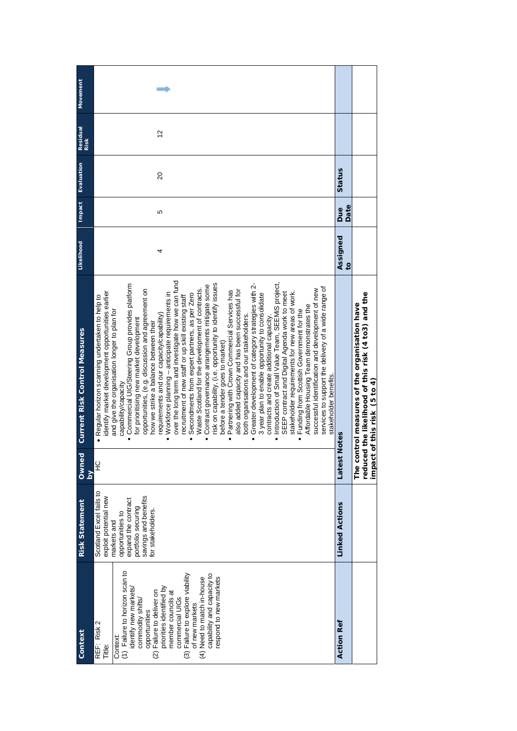| Context                                                                                                                                                                                                                                                                                                                                                                                 | <b>Risk Statement</b>                                                                                                                                                         | Owned   | <b>Current Risk Control Measures</b>                                                                                                                                                                                                                                                                                                                                                                                                                                                                                                                                                                                                                                                                                                                                                                                                                                                                                                                                                                                                                                                                                                                                                                                                                                                                                                                                                                                                                                                                                                           | Likelihood                 | Impact      | Evaluation     | Residual<br>Risk | Movement |
|-----------------------------------------------------------------------------------------------------------------------------------------------------------------------------------------------------------------------------------------------------------------------------------------------------------------------------------------------------------------------------------------|-------------------------------------------------------------------------------------------------------------------------------------------------------------------------------|---------|------------------------------------------------------------------------------------------------------------------------------------------------------------------------------------------------------------------------------------------------------------------------------------------------------------------------------------------------------------------------------------------------------------------------------------------------------------------------------------------------------------------------------------------------------------------------------------------------------------------------------------------------------------------------------------------------------------------------------------------------------------------------------------------------------------------------------------------------------------------------------------------------------------------------------------------------------------------------------------------------------------------------------------------------------------------------------------------------------------------------------------------------------------------------------------------------------------------------------------------------------------------------------------------------------------------------------------------------------------------------------------------------------------------------------------------------------------------------------------------------------------------------------------------------|----------------------------|-------------|----------------|------------------|----------|
| (1) Failure to horizon scan to<br>(3) Failure to explore viability<br>capability and capacity to<br>(4) Need to match in-house<br>respond to new markets<br>priorities identified by<br>identify new markets/<br>(2) Failure to deliver on<br>member councils at<br>commercial UIGs<br>commodity shifts,<br>of new markets<br>opportunities<br>REF: Risk 2<br>Context:<br><b>Title:</b> | Scotland Excel fails to<br>savings and benefits<br>exploit potential new<br>expand the contract<br>portfolio securing<br>for stakeholders.<br>opportunities to<br>markets and | 오<br>Κq | over the long term and investigate how we can fund<br>Introduction of Small Value Team, SEEMIS project,<br>isk on capability, (i.e. opportunity to identify issues<br>Greater development of category strategies with 2-<br>Commercial UIG/Steering Group provides platform<br>Contract governance arrangements mitigate some<br>services to support the delivery of a wide range of<br>Waste Scotland for the development of contracts.<br>successful identification and development of new<br>Partnering with Crown Commercial Services has<br>also added capacity and has been successful for<br>opportunities, (e.g. discussion and agreement on<br>dentify market development opportunities earlier<br>· Workforce planning - anticipate requirements in<br>SEEP contract and Digital Agenda work to meet<br>stakeholder requirements for new areas of work.<br>Secondments from expert partners, as per Zero<br>3 year plan to enable opportunity to consolidate<br>Regular horizon scanning undertaken to help to<br>recruitment of new staff or up skill existing staff<br>Affordable Housing Team demonstrates the<br>Funding from Scottish Government for the<br>and give the organisation longer to plan for<br>requirements and our capacity/capability)<br>both organisations and our stakeholders<br>for prioritising new market development<br>contracts and create additional capacity<br>how we strike a balance between their<br>before a tender goes to market)<br>stakeholder benefits<br>capability/capacity<br>$\bullet$ | 4                          | ပ           | $\overline{a}$ | $\frac{2}{3}$    |          |
| <b>Action Ref</b>                                                                                                                                                                                                                                                                                                                                                                       | <b>Linked Actions</b>                                                                                                                                                         | Latest  | <b>Notes</b>                                                                                                                                                                                                                                                                                                                                                                                                                                                                                                                                                                                                                                                                                                                                                                                                                                                                                                                                                                                                                                                                                                                                                                                                                                                                                                                                                                                                                                                                                                                                   | Assigned<br>$\overline{c}$ | Date<br>Due | Status         |                  |          |
|                                                                                                                                                                                                                                                                                                                                                                                         |                                                                                                                                                                               |         | reduced the likelihood of this risk (4 to 3) and the<br>The control measures of the organisation have<br>impact of this risk (5 to 4)                                                                                                                                                                                                                                                                                                                                                                                                                                                                                                                                                                                                                                                                                                                                                                                                                                                                                                                                                                                                                                                                                                                                                                                                                                                                                                                                                                                                          |                            |             |                |                  |          |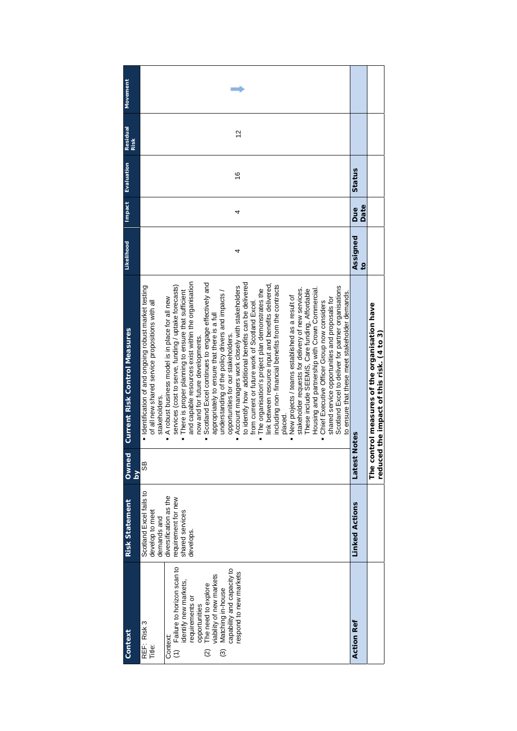| Context                                                                                                                                                                                                                                                                                    | <b>Risk Statement</b>                                                                                                                      | Owned<br>$\overline{\mathbf{M}}$ | <b>Current Risk Control Measures</b>                                                                                                                                                                                                                                                                                                                                                                                                                                                                                                                                                                                                                                                                                                                                                                                                                                                                                                                                                                                                                                                                                                                                                                                                                                                                                                                                       | Likelihood                 | Impact             | Evaluation    | Residual<br><b>Risk</b> | Movement |
|--------------------------------------------------------------------------------------------------------------------------------------------------------------------------------------------------------------------------------------------------------------------------------------------|--------------------------------------------------------------------------------------------------------------------------------------------|----------------------------------|----------------------------------------------------------------------------------------------------------------------------------------------------------------------------------------------------------------------------------------------------------------------------------------------------------------------------------------------------------------------------------------------------------------------------------------------------------------------------------------------------------------------------------------------------------------------------------------------------------------------------------------------------------------------------------------------------------------------------------------------------------------------------------------------------------------------------------------------------------------------------------------------------------------------------------------------------------------------------------------------------------------------------------------------------------------------------------------------------------------------------------------------------------------------------------------------------------------------------------------------------------------------------------------------------------------------------------------------------------------------------|----------------------------|--------------------|---------------|-------------------------|----------|
| (1) Failure to horizon scan to<br>capability and capacity to<br>espond to new markets<br>The need to explore<br>riability of new markets<br>identify new markets,<br>Matching in-house<br>requirements or<br>opportunities<br>REF: Risk 3<br>Context:<br>Title:<br>$\widehat{\omega}$<br>ම | Scotland Excel fails to<br>diversification as the<br>requirement for new<br>develop to meet<br>shared services<br>demands and<br>develops. | 98                               | and capable resources exist within the organisation<br>Scotland Excel continues to engage effectively and<br>to identify how additional benefits can be delivered<br>link between resource input and benefits delivered,<br>including non-financial benefits from the contracts<br>services (cost to serve, funding / uptake forecasts)<br>· Identification of and ongoing robust market testing<br>Account managers work closely with stakeholders<br>Scotland Excel to deliver for partner organisations<br>Housing and partnership with Crown Commercial.<br>stakeholder requests for delivery of new services.<br>The organisation's project plan demonstrates the<br>These include SEEMIS, Care funding, Affordable<br>There is proper planning to ensure that sufficient<br>understanding of the policy drivers and impacts /<br>to ensure that these meet stakeholder demands.<br>New projects / teams established as a result of<br>A robust business model is in place for all new<br>shared service opportunities and proposals for<br>Chief Executive Officer Group now considers<br>from current or future work of Scotland Excel.<br>of all new shared service propositions with all<br>appropriately to ensure that there is a full<br>opportunities for our stakeholders.<br>now and for future developments.<br>stakeholders.<br>placed.<br>$\blacksquare$ | 4                          | 4                  | $\frac{6}{5}$ | $\frac{2}{3}$           |          |
| <b>Action Ref</b>                                                                                                                                                                                                                                                                          | <b>Linked Actions</b>                                                                                                                      | Latest                           | <b>Notes</b>                                                                                                                                                                                                                                                                                                                                                                                                                                                                                                                                                                                                                                                                                                                                                                                                                                                                                                                                                                                                                                                                                                                                                                                                                                                                                                                                                               | Assigned<br>$\overline{c}$ | Date<br><b>Bue</b> | Status        |                         |          |
|                                                                                                                                                                                                                                                                                            |                                                                                                                                            |                                  | The control measures of the organisation have<br>reduced the impact of this risk. (4 to 3)                                                                                                                                                                                                                                                                                                                                                                                                                                                                                                                                                                                                                                                                                                                                                                                                                                                                                                                                                                                                                                                                                                                                                                                                                                                                                 |                            |                    |               |                         |          |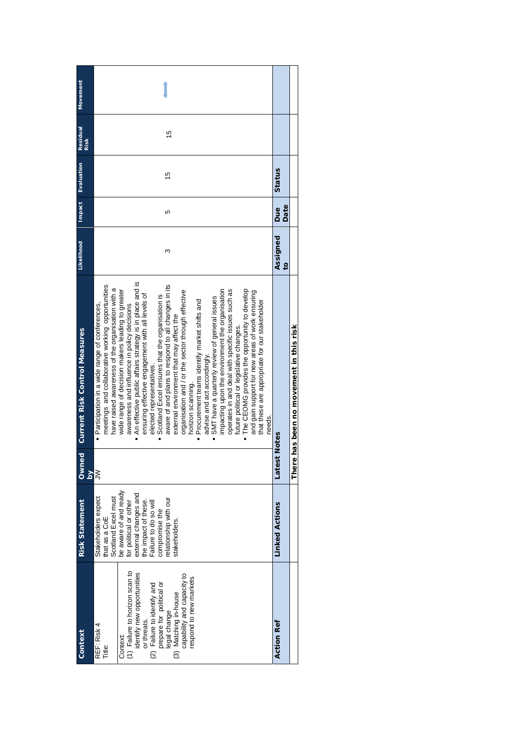| <b>Movement</b>                               |             |                                                                                                                                                                                                                                                                                                                                                                                                                                                                                                                                                                                                                                                                                                                                                                                                                                                                                                                                                                                                                                                                                                 |                                     |                                   |
|-----------------------------------------------|-------------|-------------------------------------------------------------------------------------------------------------------------------------------------------------------------------------------------------------------------------------------------------------------------------------------------------------------------------------------------------------------------------------------------------------------------------------------------------------------------------------------------------------------------------------------------------------------------------------------------------------------------------------------------------------------------------------------------------------------------------------------------------------------------------------------------------------------------------------------------------------------------------------------------------------------------------------------------------------------------------------------------------------------------------------------------------------------------------------------------|-------------------------------------|-----------------------------------|
| <b>Residual</b>                               | <b>Risk</b> | 15                                                                                                                                                                                                                                                                                                                                                                                                                                                                                                                                                                                                                                                                                                                                                                                                                                                                                                                                                                                                                                                                                              |                                     |                                   |
| Evaluation                                    |             | $\frac{15}{2}$                                                                                                                                                                                                                                                                                                                                                                                                                                                                                                                                                                                                                                                                                                                                                                                                                                                                                                                                                                                                                                                                                  | Status                              |                                   |
| Impact                                        |             | Ю                                                                                                                                                                                                                                                                                                                                                                                                                                                                                                                                                                                                                                                                                                                                                                                                                                                                                                                                                                                                                                                                                               | Date<br>Due                         |                                   |
| <b>Likelihood</b>                             |             | ო                                                                                                                                                                                                                                                                                                                                                                                                                                                                                                                                                                                                                                                                                                                                                                                                                                                                                                                                                                                                                                                                                               | Assigned<br>$\overline{\mathbf{c}}$ |                                   |
| <b>Current Risk Control Measures</b><br>Owned |             | An effective public affairs strategy is in place and is<br>aware of and plans to respond to all changes in its<br>meetings and collaborative working opportunities<br>have raised awareness of the organisation with a<br>The CEOMG provides the opportunity to develop<br>wide range of decision makers leading to greater<br>organisation and / or the sector through effective<br>impacting upon the environment the organisation<br>operates in and deal with specific issues such as<br>and gain support for new areas of work ensuring<br>ensuring effective engagement with all levels of<br>Scotland Excel ensures that the organisation is<br>SMT have a quarterly review of general issues<br>Procurement teams identify market shifts and<br>that these are appropriate for our stakeholder<br>· Participation in a wide range of conferences,<br>awareness and influence in policy decisions<br>external environment that may affect the<br>future political or legislative changes.<br>advise and act accordingly.<br>elected representatives.<br>horizon scanning.<br>needs.<br>E | Notes<br>Latest                     | has been no movement in this risk |
|                                               | $\geq$      | ξ                                                                                                                                                                                                                                                                                                                                                                                                                                                                                                                                                                                                                                                                                                                                                                                                                                                                                                                                                                                                                                                                                               |                                     | <b>There</b>                      |
| <b>Risk Statement</b>                         |             | be aware of and ready<br>external changes and<br>the impact of these.<br>Stakeholders expect<br>Scotland Excel must<br>compromise the<br>relationship with our<br>for political or other<br>Failure to do so will<br>that as a CoE<br>stakeholders                                                                                                                                                                                                                                                                                                                                                                                                                                                                                                                                                                                                                                                                                                                                                                                                                                              | <b>Linked Actions</b>               |                                   |
| Context                                       |             | (1) Failure to horizon scan to<br>identify new opportunities<br>capability and capacity to<br>espond to new markets<br>or threats.<br>(2) Failure to identify and<br>prepare for political or<br>(3) Matching in-house<br>legal change<br>REF: Risk 4<br>Context:<br>Title:                                                                                                                                                                                                                                                                                                                                                                                                                                                                                                                                                                                                                                                                                                                                                                                                                     | <b>Action Ref</b>                   |                                   |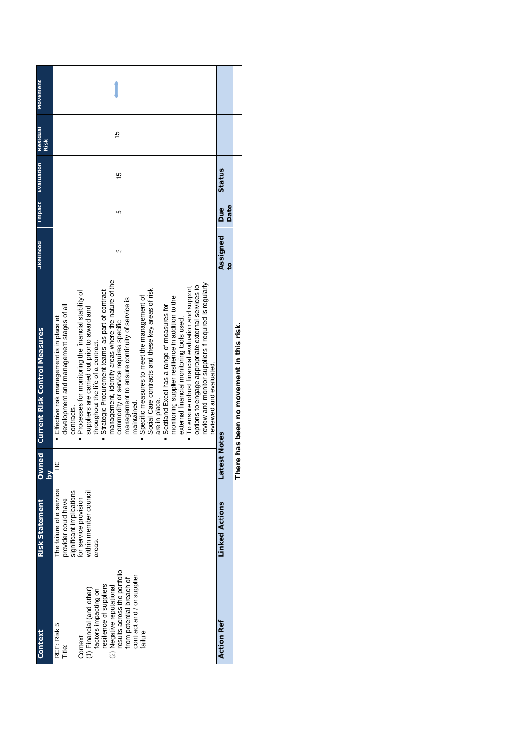| Movement                             |                                                                                                                                                                                                                                                                                                                                                                                                                                                                                                                                                                                                                                                                                                                                                                                                                                                                                                                                         |                            |                                    |
|--------------------------------------|-----------------------------------------------------------------------------------------------------------------------------------------------------------------------------------------------------------------------------------------------------------------------------------------------------------------------------------------------------------------------------------------------------------------------------------------------------------------------------------------------------------------------------------------------------------------------------------------------------------------------------------------------------------------------------------------------------------------------------------------------------------------------------------------------------------------------------------------------------------------------------------------------------------------------------------------|----------------------------|------------------------------------|
| <b>Residual</b><br><b>Risk</b>       | 15                                                                                                                                                                                                                                                                                                                                                                                                                                                                                                                                                                                                                                                                                                                                                                                                                                                                                                                                      |                            |                                    |
| Impact Evaluation                    | $\frac{5}{3}$                                                                                                                                                                                                                                                                                                                                                                                                                                                                                                                                                                                                                                                                                                                                                                                                                                                                                                                           | Status                     |                                    |
|                                      | 5                                                                                                                                                                                                                                                                                                                                                                                                                                                                                                                                                                                                                                                                                                                                                                                                                                                                                                                                       | Date<br><b>Due</b>         |                                    |
| Likelihood                           | ო                                                                                                                                                                                                                                                                                                                                                                                                                                                                                                                                                                                                                                                                                                                                                                                                                                                                                                                                       | Assigned<br>$\overline{c}$ |                                    |
| <b>Current Risk Control Measures</b> | management, identify areas where the nature of the<br>review and monitor suppliers if required is regularly<br>options to engage appropriate external services to<br>To ensure robust financial evaluation and support,<br>Social Care contracts and these key areas of risk<br>Strategic Procurement teams, as part of contract<br>Processes for monitoring the financial stability of<br>Specific measures to meet the management of<br>monitoring supplier resilience in addition to the<br>management to ensure continuity of service is<br>Scotland Excel has a range of measures for<br>development and management stages of all<br>suppliers are carried out prior to award and<br>Effective risk management is in place at<br>external financial monitoring tools used.<br>commodity or service requires specific<br>throughout the life of a contract.<br>reviewed and evaluated<br>are in place.<br>maintained.<br>contracts. | Notes                      | has been no movement in this risk. |
| Owned<br>$\mathsf{S}$                | 잎                                                                                                                                                                                                                                                                                                                                                                                                                                                                                                                                                                                                                                                                                                                                                                                                                                                                                                                                       | Latest                     | There                              |
| <b>Risk Statement</b>                | The failure of a service<br>provider could have<br>significant implications<br>for service provision<br>within member council<br>areas.                                                                                                                                                                                                                                                                                                                                                                                                                                                                                                                                                                                                                                                                                                                                                                                                 | <b>Linked Actions</b>      |                                    |
| Context                              | esults across the portfolio<br>contract and / or supplier<br>from potential breach of<br>resilience of suppliers<br>(2) Negative reputational<br>(1) Financial (and other)<br>factors impacting on<br>REF: Risk 5<br>Title:<br>failure<br>Context:                                                                                                                                                                                                                                                                                                                                                                                                                                                                                                                                                                                                                                                                                      | <b>Action Ref</b>          |                                    |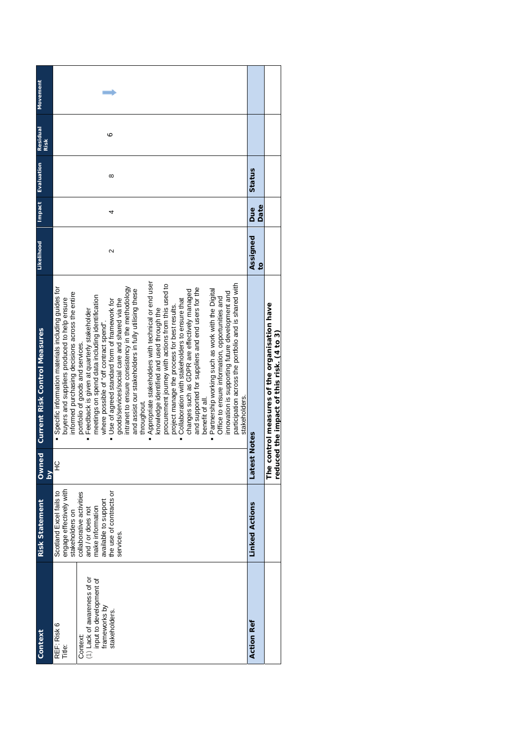| Context                                                                                                                       | <b>Risk Statement</b>                                                                                                                                                                                      | <b>Owned</b><br>ΣĀ | <b>Current Risk Control Measures</b>                                                                                                                                                                                                                                                                                                                                                                                                                                                                                                                                                                                                                                                                                                                                                                                                                                                                                                                                                                                                                                                                                                                                                               | Likelihood                 | Impact      | Evaluation | Residual<br><b>Risk</b> | Movement |
|-------------------------------------------------------------------------------------------------------------------------------|------------------------------------------------------------------------------------------------------------------------------------------------------------------------------------------------------------|--------------------|----------------------------------------------------------------------------------------------------------------------------------------------------------------------------------------------------------------------------------------------------------------------------------------------------------------------------------------------------------------------------------------------------------------------------------------------------------------------------------------------------------------------------------------------------------------------------------------------------------------------------------------------------------------------------------------------------------------------------------------------------------------------------------------------------------------------------------------------------------------------------------------------------------------------------------------------------------------------------------------------------------------------------------------------------------------------------------------------------------------------------------------------------------------------------------------------------|----------------------------|-------------|------------|-------------------------|----------|
| (1) Lack of awareness of or<br>input to development of<br>frameworks by<br>stakeholders.<br>REF: Risk 6<br>Context:<br>Title: | engage effectively with<br>stakeholders on<br>the use of contracts or<br>Scotland Excel fails to<br>collaborative activities<br>available to support<br>make information<br>and / or does not<br>services. | 잎                  | Appropriate stakeholders with technical or end user<br>procurement journey with actions from this used to<br>participation across the portfolio and is shared with<br>Specific information materials including guides for<br>intranet to ensure consistency in the methodology<br>and supported for suppliers and end users for the<br>Partnership working such as work with the Digital<br>and assist our stakeholders in fully utilising these<br>changes such as GDPR are effectively managed<br>innovation is supporting future development and<br>informed purchasing decisions across the entire<br>meetings on spend data including identification<br>Office to ensure information, opportunities and<br>buyers and suppliers produced to help ensure<br>goods/services/social care and shared via the<br>Collaboration with stakeholders to ensure that<br>" Use of agreed standard form of framework for<br>project manage the process for best results.<br>Feedback is given at quarterly stakeholder<br>knowledge identified and used through the<br>where possible of "off contract spend"<br>portfolio of goods and services.<br>stakeholders.<br>benefit of all.<br>throughout.<br>Ė | 2                          | 4           | $\infty$   | ∘                       |          |
| <b>Action Ref</b>                                                                                                             | <b>Linked Actions</b>                                                                                                                                                                                      | Latest             | Notes                                                                                                                                                                                                                                                                                                                                                                                                                                                                                                                                                                                                                                                                                                                                                                                                                                                                                                                                                                                                                                                                                                                                                                                              | Assigned<br>$\overline{6}$ | Date<br>Due | Status     |                         |          |
|                                                                                                                               |                                                                                                                                                                                                            |                    | The control measures of the organisation have<br>reduced the impact of this risk. (4 to 3)                                                                                                                                                                                                                                                                                                                                                                                                                                                                                                                                                                                                                                                                                                                                                                                                                                                                                                                                                                                                                                                                                                         |                            |             |            |                         |          |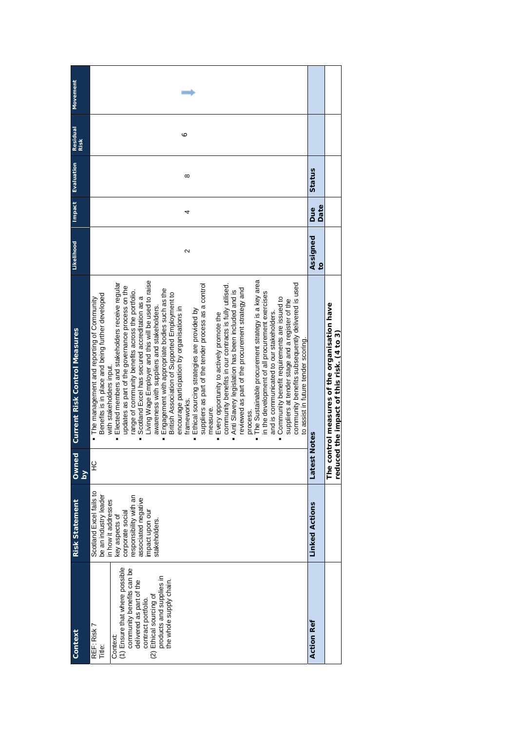|                                | <b>Risk Statement</b>                                                                                                                                                                              | <b>Owned</b>            | <b>Current Risk Control Measures</b>                                                                                                                                                                                                                                                                                                                                                                                                                                                                                                                                                                                                                                                                                                                                                                                                                                                                                                                                                                                                                                                                                                                                                                                                                                                                                                                         | Likelihood                 | Impact      | Evaluation | Residual<br>Risk | Movement |
|--------------------------------|----------------------------------------------------------------------------------------------------------------------------------------------------------------------------------------------------|-------------------------|--------------------------------------------------------------------------------------------------------------------------------------------------------------------------------------------------------------------------------------------------------------------------------------------------------------------------------------------------------------------------------------------------------------------------------------------------------------------------------------------------------------------------------------------------------------------------------------------------------------------------------------------------------------------------------------------------------------------------------------------------------------------------------------------------------------------------------------------------------------------------------------------------------------------------------------------------------------------------------------------------------------------------------------------------------------------------------------------------------------------------------------------------------------------------------------------------------------------------------------------------------------------------------------------------------------------------------------------------------------|----------------------------|-------------|------------|------------------|----------|
|                                |                                                                                                                                                                                                    | $\overline{\mathsf{S}}$ |                                                                                                                                                                                                                                                                                                                                                                                                                                                                                                                                                                                                                                                                                                                                                                                                                                                                                                                                                                                                                                                                                                                                                                                                                                                                                                                                                              |                            |             |            |                  |          |
| (1) Ensure that where possible | Scotland Excel fails to<br>be an industry leader<br>responsibility with an<br>associated negative<br>in how it addresses<br>corporate social<br>impact upon our<br>key aspects of<br>stakeholders. | $\frac{Q}{L}$           | The Sustainable procurement strategy is a key area<br>Living Wage Employer and this will be used to raise<br>community benefits subsequently delivered is used<br>Elected members and stakeholders receive regular<br>suppliers as part of the tender process as a control<br>community benefits in our contracts is fully utilised.<br>updates as part of the governance process on the<br>reviewed as part of the procurement strategy and<br>Engagement with appropriate bodies such as the<br>Anti Slavery legislation has been included and is<br>range of community benefits across the portfolio.<br>in the development of all procurement exercises<br>British Association of Supported Employment to<br>Benefits is in place and being further developed<br>Scotland Excel has secured accreditation as a<br>Community benefit requirements are issued to<br>· The management and reporting of Community<br>suppliers at tender stage and a register of the<br>awareness with suppliers and stakeholders.<br>encourage participation by organisations in<br>Ethical sourcing strategies are provided by<br>and is communicated to our stakeholders.<br>Every opportunity to actively promote the<br>to assist in future tender scoring.<br>with stakeholders input.<br>frameworks<br>measure.<br>process.<br>i.<br>$\blacksquare$<br>$\blacksquare$ | 2                          | 4           | $\infty$   | ∘                |          |
|                                | <b>Linked Actions</b>                                                                                                                                                                              | Latest                  | Notes                                                                                                                                                                                                                                                                                                                                                                                                                                                                                                                                                                                                                                                                                                                                                                                                                                                                                                                                                                                                                                                                                                                                                                                                                                                                                                                                                        | Assigned<br>$\overline{c}$ | Date<br>Due | Status     |                  |          |
|                                |                                                                                                                                                                                                    |                         | The control measures of the organisation have<br>reduced the impact of this risk. (4 to 3)                                                                                                                                                                                                                                                                                                                                                                                                                                                                                                                                                                                                                                                                                                                                                                                                                                                                                                                                                                                                                                                                                                                                                                                                                                                                   |                            |             |            |                  |          |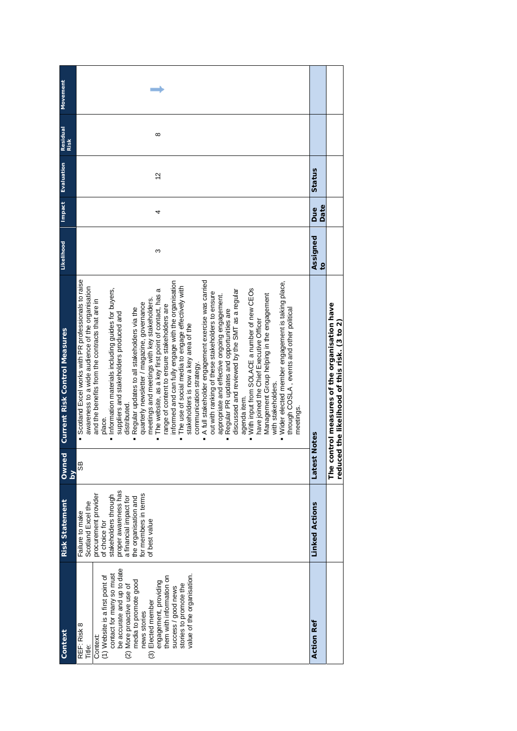| Context                                                     | <b>Risk Statement</b>                 | Ownec  | <b>Current Risk Control Measures</b>                                                                         | Likelihood                 | <b>Impact</b>      | Evaluation    | Residual | Movement |
|-------------------------------------------------------------|---------------------------------------|--------|--------------------------------------------------------------------------------------------------------------|----------------------------|--------------------|---------------|----------|----------|
|                                                             |                                       | ΣĀ     |                                                                                                              |                            |                    |               | Risk     |          |
| REF: Risk 8<br>Title:                                       | Scotland Excel the<br>Failure to make | 8S     | Scotland Excel works with PR professionals to raise<br>awareness to a wide audience of the organisation<br>Ľ |                            |                    |               |          |          |
| Context:                                                    | procurement provider<br>of choice for |        | and the benefits from the contracts that are in<br>place.                                                    |                            |                    |               |          |          |
| contact for many so must<br>(1) Website is a first point of | stakeholders through                  |        | Information materials including guides for buyers,                                                           |                            |                    |               |          |          |
| be accurate and up to date                                  | proper awareness has                  |        | suppliers and stakeholders produced and                                                                      |                            |                    |               |          |          |
| (2) More proactive use of                                   | a financial impact for                |        | distributed.                                                                                                 |                            |                    |               |          |          |
| media to promote good                                       | the organisation and                  |        | Regular updates to all stakeholders via the                                                                  |                            |                    |               |          |          |
| news stories                                                | for members in terms                  |        | quarterly newsletter / magazine, governance                                                                  |                            |                    |               |          |          |
| (3) Elected member                                          | of best value                         |        | meetings and meetings with key stakeholders.                                                                 |                            |                    |               |          |          |
| engagement, providing                                       |                                       |        | The website, as a key first point of contact, has a                                                          | ω                          | 4                  | $\frac{2}{3}$ | $\infty$ |          |
| them with information on                                    |                                       |        | ange of content to ensure stakeholders are                                                                   |                            |                    |               |          |          |
| success / good news                                         |                                       |        | informed and can fully engage with the organisation                                                          |                            |                    |               |          |          |
| stories to promote the                                      |                                       |        | The use of social media to engage effectively with                                                           |                            |                    |               |          |          |
| value of the organisation.                                  |                                       |        | stakeholders is now a key area of the                                                                        |                            |                    |               |          |          |
|                                                             |                                       |        | communication strategy.                                                                                      |                            |                    |               |          |          |
|                                                             |                                       |        | A full stakeholder engagement exercise was carried                                                           |                            |                    |               |          |          |
|                                                             |                                       |        | out with ranking of these stakeholders to ensure                                                             |                            |                    |               |          |          |
|                                                             |                                       |        | appropriate and effective ongoing engagement.                                                                |                            |                    |               |          |          |
|                                                             |                                       |        | Regular PR updates and opportunities are                                                                     |                            |                    |               |          |          |
|                                                             |                                       |        | discussed and reviewed by the SMT as a regular                                                               |                            |                    |               |          |          |
|                                                             |                                       |        | agenda item.                                                                                                 |                            |                    |               |          |          |
|                                                             |                                       |        | With input from SOLACE a number of new CEOs                                                                  |                            |                    |               |          |          |
|                                                             |                                       |        | have joined the Chief Executive Officer                                                                      |                            |                    |               |          |          |
|                                                             |                                       |        | Management Group helping in the engagement                                                                   |                            |                    |               |          |          |
|                                                             |                                       |        | with stakeholders.                                                                                           |                            |                    |               |          |          |
|                                                             |                                       |        | Wider elected member engagement is taking place,                                                             |                            |                    |               |          |          |
|                                                             |                                       |        | through COSLA, events and other political                                                                    |                            |                    |               |          |          |
|                                                             |                                       |        | meetings.                                                                                                    |                            |                    |               |          |          |
| <b>Action Ref</b>                                           | <b>Linked Actions</b>                 | Latest | <b>Notes</b>                                                                                                 | Assigned<br>$\overline{c}$ | Date<br><b>Bue</b> | Status        |          |          |
|                                                             |                                       |        |                                                                                                              |                            |                    |               |          |          |
|                                                             |                                       |        | The control measures of the organisation have<br>reduced the likelihood of this risk. (3 to 2)               |                            |                    |               |          |          |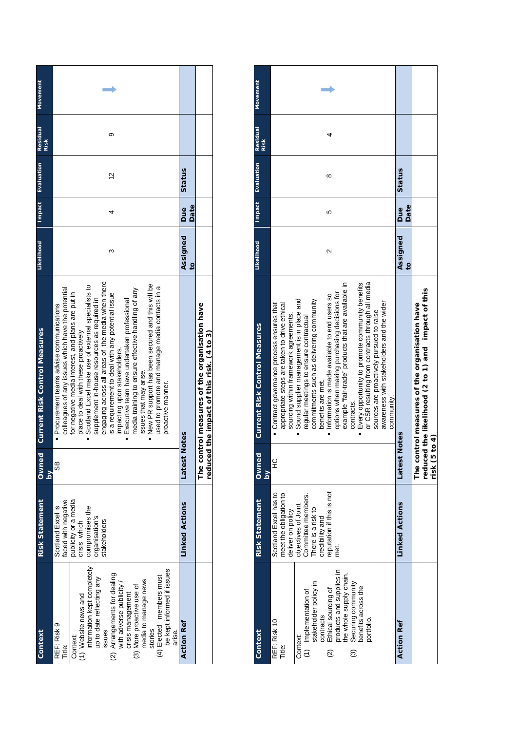| <b>Movement</b>                      |                                                                                                                                                                                                                                                                                                                                                                                                                                                                                                                                                                                                                                                                                                      |                            |                                                                                            |
|--------------------------------------|------------------------------------------------------------------------------------------------------------------------------------------------------------------------------------------------------------------------------------------------------------------------------------------------------------------------------------------------------------------------------------------------------------------------------------------------------------------------------------------------------------------------------------------------------------------------------------------------------------------------------------------------------------------------------------------------------|----------------------------|--------------------------------------------------------------------------------------------|
| Residual<br>Risk                     | ග                                                                                                                                                                                                                                                                                                                                                                                                                                                                                                                                                                                                                                                                                                    |                            |                                                                                            |
| Evaluation                           | $\frac{2}{3}$                                                                                                                                                                                                                                                                                                                                                                                                                                                                                                                                                                                                                                                                                        | Status                     |                                                                                            |
| Impact                               | 4                                                                                                                                                                                                                                                                                                                                                                                                                                                                                                                                                                                                                                                                                                    | Date<br>Due                |                                                                                            |
| <b>Likelihood</b>                    | ᠬ                                                                                                                                                                                                                                                                                                                                                                                                                                                                                                                                                                                                                                                                                                    | Assigned<br>$\overline{c}$ |                                                                                            |
| <b>Current Risk Control Measures</b> | engaging across all areas of the media when there<br>. New PR support has been secured and this will be<br>Scotland Excel make use of external specialists to<br>used to promote and manage media contacts in a<br>colleagues of any issues which have the potential<br>media training to ensure effective handling of any<br>for negative media interest, and plans are put in<br>is a requirement to deal with any potential issue<br>supplement in-house resources as required in<br>Executive team have undertaken professional<br>Procurement teams advise communications<br>place to deal with these proactively<br>impacting upon stakeholders.<br>issues that may anse.<br>proactive manner. | Notes                      | The control measures of the organisation have<br>reduced the impact of this risk. (4 to 3) |
| Owned<br>$\frac{2}{\Omega}$          | 89                                                                                                                                                                                                                                                                                                                                                                                                                                                                                                                                                                                                                                                                                                   | Latest                     |                                                                                            |
| <b>Risk Statement</b>                | faced with negative<br>publicity or a media<br>Scotland Excel is<br>compromises the<br>organisation's<br>stakeholders<br>crisis which                                                                                                                                                                                                                                                                                                                                                                                                                                                                                                                                                                | <b>Linked Actions</b>      |                                                                                            |
| Context                              | information kept completely<br>be kept informed if issues<br>(2) Arrangements for dealing<br>with adverse publicity /<br>(4) Elected members must<br>up to date reflecting any<br>media to manage news<br>(3) More proactive use of<br>crisis management<br>(1) Website news and<br>REF: Risk 9<br>issues<br>stories<br>arise.<br>Context:<br>Title:                                                                                                                                                                                                                                                                                                                                                 | <b>Action Ref</b>          |                                                                                            |

| Context                                                                                                                                                                                                                                                            | <b>Risk Statement</b>                                                                                                                                                                          | Ownec<br>$\geq$ | <b>Current Risk Control Measures</b>                                                                                                                                                                                                                                                                                                                                                                                                                                                                                                                                                                                                                                                    | Likelihood                 | Impact      | <b>Evaluation</b> | Residual<br>Risk | Movement |
|--------------------------------------------------------------------------------------------------------------------------------------------------------------------------------------------------------------------------------------------------------------------|------------------------------------------------------------------------------------------------------------------------------------------------------------------------------------------------|-----------------|-----------------------------------------------------------------------------------------------------------------------------------------------------------------------------------------------------------------------------------------------------------------------------------------------------------------------------------------------------------------------------------------------------------------------------------------------------------------------------------------------------------------------------------------------------------------------------------------------------------------------------------------------------------------------------------------|----------------------------|-------------|-------------------|------------------|----------|
| Ethical sourcing of<br>products and supplies in<br>the whole supply chain.<br>(1) Implementation of<br>stakeholder policy in<br>Securing community<br>benefits across the<br>contracts<br>portfolio.<br>REF: Risk 10<br>Context:<br>Title:<br>$\widetilde{2}$<br>ල | Scotland Excel has to<br>eputation if this is not<br>meet the obligation to<br>Committee members.<br>objectives of Joint<br>There is a risk to<br>deliver on policy<br>credibility and<br>met. | 오               | or CSR resulting from contracts through all media<br>example "fair-trade" products that are available in<br><b>Every opportunity to promote community benefits</b><br>options when making purchasing decisions for<br>. Information is made available to end users so<br>Sound supplier management is in place and<br>commitments such as delivering community<br>awareness with stakeholders and the wider<br>appropriate steps are taken to drive ethical<br>Contract governance process ensures that<br>sources are proactively pursued to raise<br>sourcing within framework agreements.<br>regular meetings to ensure contractual<br>benefits are met.<br>community.<br>contracts. | 2                          | Ю           | $^{\circ}$        |                  |          |
| <b>Action Ref</b>                                                                                                                                                                                                                                                  | <b>Linked Actions</b>                                                                                                                                                                          | Notes<br>Latest |                                                                                                                                                                                                                                                                                                                                                                                                                                                                                                                                                                                                                                                                                         | Assigned<br>$\overline{6}$ | Date<br>Due | Status            |                  |          |
|                                                                                                                                                                                                                                                                    |                                                                                                                                                                                                | risk (5 to 4)   | reduced the likelihood (2 to 1) and impact of this<br>The control measures of the organisation have                                                                                                                                                                                                                                                                                                                                                                                                                                                                                                                                                                                     |                            |             |                   |                  |          |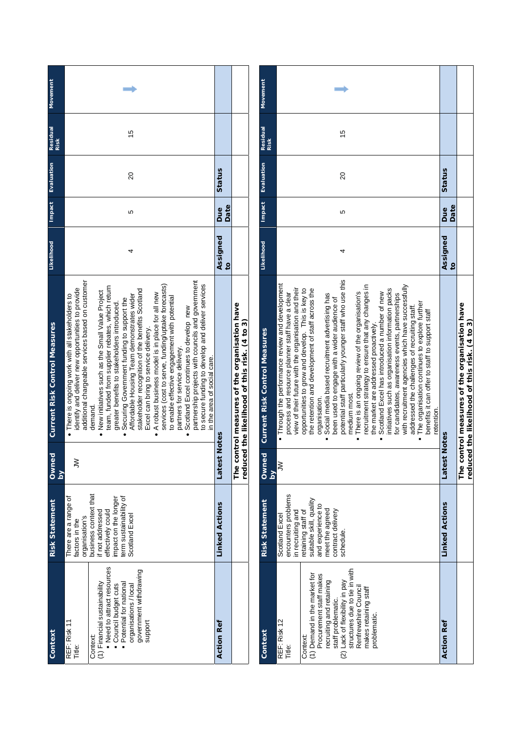| Context                                                                                                                                                                                                       | <b>Risk Statement</b>                                                                                                                                                                         | Owned<br>$\geq$ | <b>Current Risk Control Measures</b>                                                                                                                                                                                                                                                                                                                                                                                                                                                                                                                                                                                                                                                                                                                                                                                                                                                                    | Likelihood                 | Impact      | Evaluation | <b>Residual</b><br><b>Risk</b> | <b>Movement</b> |
|---------------------------------------------------------------------------------------------------------------------------------------------------------------------------------------------------------------|-----------------------------------------------------------------------------------------------------------------------------------------------------------------------------------------------|-----------------|---------------------------------------------------------------------------------------------------------------------------------------------------------------------------------------------------------------------------------------------------------------------------------------------------------------------------------------------------------------------------------------------------------------------------------------------------------------------------------------------------------------------------------------------------------------------------------------------------------------------------------------------------------------------------------------------------------------------------------------------------------------------------------------------------------------------------------------------------------------------------------------------------------|----------------------------|-------------|------------|--------------------------------|-----------------|
| Need to attract resources<br>government withdrawing<br>(1) Financial sustainability<br>Potential for national<br>organisations / local<br>Council budget cuts<br>REF: Risk 11<br>support<br>Context<br>Title: | business context that<br>There are a range of<br>erm sustainability of<br>effectively could<br>impact on the longer<br>if not addressed<br>Scotland Excel<br>organisation's<br>factors in the | ξ               | partnership projects with councils and government<br>additional chargeable services based on customer<br>to secure funding to develop and deliver services<br>services (cost to serve, funding/uptake forecasts)<br>team, funded from supplier rebates, which return<br>identify and deliver new opportunities to provide<br>stakeholder recognition of the benefits Scotland<br>• New initiatives such as the Small Value Project<br>• A robust business model is in place for all new<br>. There is ongoing work with all stakeholders to<br>Affordable Housing Team demonstrates wider<br>to enable effective engagement with potential<br>Securing Government funding to support the<br>greater benefits to stakeholders introduced.<br>Scotland Excel continues to develop new<br>Excel can bring to service delivery.<br>partners for service delivery.<br>in the area of social care.<br>demand. |                            | Ю           | 8          | 15                             |                 |
| <b>Action Ref</b>                                                                                                                                                                                             | <b>Linked Actions</b>                                                                                                                                                                         | Notes<br>Latest |                                                                                                                                                                                                                                                                                                                                                                                                                                                                                                                                                                                                                                                                                                                                                                                                                                                                                                         | Assigned<br>$\overline{5}$ | Date<br>Due | Status     |                                |                 |
|                                                                                                                                                                                                               |                                                                                                                                                                                               |                 | The control measures of the organisation have<br>reduced the likelihood of this risk. (4 to 3)                                                                                                                                                                                                                                                                                                                                                                                                                                                                                                                                                                                                                                                                                                                                                                                                          |                            |             |            |                                |                 |

| Context                                              | <b>Risk Statement</b>                        | Ownee              | <b>Current Risk Control Measures</b>                                                                | Likelihood     | Impact | Evaluation | Residual      | Movement |
|------------------------------------------------------|----------------------------------------------|--------------------|-----------------------------------------------------------------------------------------------------|----------------|--------|------------|---------------|----------|
|                                                      |                                              | $\frac{1}{\alpha}$ |                                                                                                     |                |        |            | <b>Risk</b>   |          |
| REF: Risk 12<br>Title:                               | encounters problems<br>Scotland Excel        | $\geq$             | . Through the performance review and development<br>process and resource planner staff have a clear |                |        |            |               |          |
|                                                      | in recruiting and                            |                    | view of their future with the organisation and their                                                |                |        |            |               |          |
| Context:                                             | retaining staff of                           |                    | opportunities to grow and develop. This is key to                                                   |                |        |            |               |          |
| 1) Demand in the market for                          | suitable skill, quality<br>and experience to |                    | the retention and development of staff across the                                                   |                |        |            |               |          |
| Procurement staff makes                              |                                              |                    | organisation.                                                                                       |                |        |            |               |          |
| recruiting and retaining                             | meet the agreed                              |                    | Social media based recruitment advertising has                                                      |                |        |            |               |          |
|                                                      | contract delivery                            |                    | been used to engage with a wider audience of                                                        |                |        |            |               |          |
| staff problematic.<br>(2) Lack of flexibility in pay | schedule.                                    |                    | potential staff particularly younger staff who use this                                             | 4              | Ю      | 20         | $\frac{5}{1}$ |          |
| structures due to tie in with                        |                                              |                    | medium most.                                                                                        |                |        |            |               |          |
| Renfrewshire Council                                 |                                              |                    | There is an ongoing review of the organisation's                                                    |                |        |            |               |          |
| makes retaining staff                                |                                              |                    | recruitment strategy to ensure that any changes in                                                  |                |        |            |               |          |
| problematic.                                         |                                              |                    | the market are addressed proactively.                                                               |                |        |            |               |          |
|                                                      |                                              |                    | Scotland Excel has introduced a number of new                                                       |                |        |            |               |          |
|                                                      |                                              |                    | initiatives such as organisation information packs                                                  |                |        |            |               |          |
|                                                      |                                              |                    | for candidates, awareness events, partnerships                                                      |                |        |            |               |          |
|                                                      |                                              |                    | with recruitment agencies which have successfully                                                   |                |        |            |               |          |
|                                                      |                                              |                    | addressed the challenges of recruiting staff.                                                       |                |        |            |               |          |
|                                                      |                                              |                    | The organisation continues to explore further                                                       |                |        |            |               |          |
|                                                      |                                              |                    | benefits it can offer to staff to support staff                                                     |                |        |            |               |          |
|                                                      |                                              |                    | retention.                                                                                          |                |        |            |               |          |
| <b>Action Ref</b>                                    | <b>Linked Actions</b>                        | Latest             | Notes                                                                                               | Assigned       | Due    | Status     |               |          |
|                                                      |                                              |                    |                                                                                                     | $\overline{c}$ | Date   |            |               |          |
|                                                      |                                              |                    | The control measures of the organisation have                                                       |                |        |            |               |          |
|                                                      |                                              |                    | reduced the likelihood of this risk. (4 to 3)                                                       |                |        |            |               |          |
|                                                      |                                              |                    |                                                                                                     |                |        |            |               |          |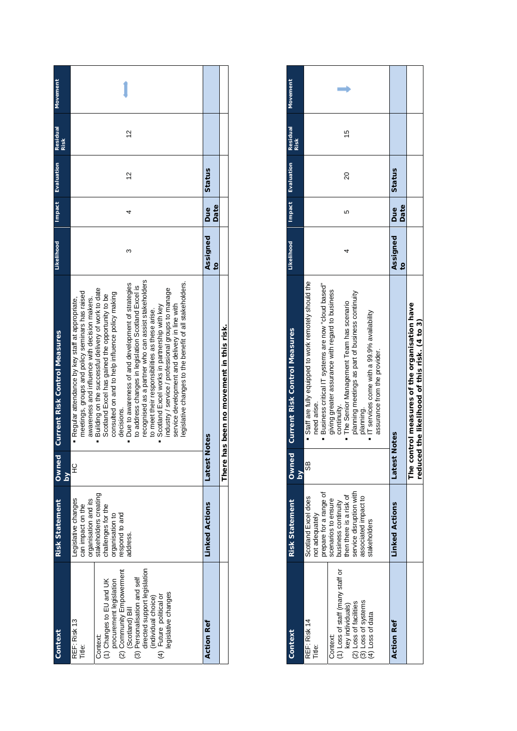| Context                                                                                                                                                                                                                                                                            | <b>Risk Statement</b>                                                                                                                                           | Owned<br>$\geq$ | <b>Current Risk Control Measures</b>                                                                                                                                                                                                                                                                                                                                                                                                                                                                                                                                                                                                                                                                                                                                   | Likelihood                 |             | Impact Evaluation | <b>Residual</b><br><b>Risk</b> | Movement |
|------------------------------------------------------------------------------------------------------------------------------------------------------------------------------------------------------------------------------------------------------------------------------------|-----------------------------------------------------------------------------------------------------------------------------------------------------------------|-----------------|------------------------------------------------------------------------------------------------------------------------------------------------------------------------------------------------------------------------------------------------------------------------------------------------------------------------------------------------------------------------------------------------------------------------------------------------------------------------------------------------------------------------------------------------------------------------------------------------------------------------------------------------------------------------------------------------------------------------------------------------------------------------|----------------------------|-------------|-------------------|--------------------------------|----------|
| (3) Personalisation and self<br>directed support legislation<br>(2) Community Empowerment<br>procurement legislation<br>(1) Changes to EU and UK<br>legislative changes<br>(individual choice)<br>(4) Future political or<br>(Scotland) Bill<br>REF: Risk 13<br>Context:<br>Title: | organisation and its<br>stakeholders creating<br>egislative changes<br>can impact on the<br>challenges for the<br>organisation to<br>respond to and<br>address. | 잎               | recognised as a partner who can assist stakeholders<br>legislative changes to the benefit of all stakeholders.<br>Due to awareness of and development of strategies<br>to address changes in legislation Scotland Excel is<br>Building on the successful delivery of work to date<br>industry / service / professional groups to manage<br>meetings, groups and policy seminars has raised<br>consulted on and to help influence policy making<br>Scotland Excel has gained the opportunity to be<br>awareness and influence with decision makers.<br>Regular attendance by key staff at appropriate,<br>service development and delivery in line with<br>Scotland Excel works in partnership with key<br>to meet their responsibilities as these arise.<br>decisions. | ო                          |             | $\tilde{c}$       | $\frac{2}{3}$                  |          |
| <b>Action Ref</b>                                                                                                                                                                                                                                                                  | <b>Linked Actions</b>                                                                                                                                           | Latest          | <b>Notes</b>                                                                                                                                                                                                                                                                                                                                                                                                                                                                                                                                                                                                                                                                                                                                                           | Assigned<br>$\overline{c}$ | Date<br>Due | Status            |                                |          |
|                                                                                                                                                                                                                                                                                    |                                                                                                                                                                 | There           | has been no movement in this risk                                                                                                                                                                                                                                                                                                                                                                                                                                                                                                                                                                                                                                                                                                                                      |                            |             |                   |                                |          |

| Context                                                                                                                                                         | <b>Risk Statement</b>                                                                                                                                                                                       | <b>Owned</b><br>$\geq$ | <b>Current Risk Control Measures</b>                                                                                                                                                                                                                                                                                                                                                       | Likelihood                 |                    | <b>Impact</b> Evaluation | <b>Residual</b><br><b>Risk</b> | <b>Movement</b> |
|-----------------------------------------------------------------------------------------------------------------------------------------------------------------|-------------------------------------------------------------------------------------------------------------------------------------------------------------------------------------------------------------|------------------------|--------------------------------------------------------------------------------------------------------------------------------------------------------------------------------------------------------------------------------------------------------------------------------------------------------------------------------------------------------------------------------------------|----------------------------|--------------------|--------------------------|--------------------------------|-----------------|
| (1) Loss of staff (many staff or<br>(2) Loss of facilities<br>(3) Loss of systems<br>key individuals)<br>(4) Loss of data<br>REF: Risk 14<br>Context:<br>Title: | service disruption with<br>prepare for a range of<br>business continuity<br>then there is a risk of<br>associated impact to<br>Scotland Excel does<br>scenarios to ensure<br>not adequately<br>stakeholders | 89                     | " Staff are fully equipped to work remotely should the<br>" Business critical IT systems are now "cloud based"<br>giving greater assurance with regard to business<br>planning meetings as part of business continuity<br>The Senior Management Team has scenario<br>IT services come with a 99.9% availability<br>assurance from the provider.<br>need arise.<br>continuity.<br>planning. |                            |                    | 20                       | Ю                              |                 |
| <b>Action Ref</b>                                                                                                                                               | <b>Linked Actions</b>                                                                                                                                                                                       | Latest                 | Notes                                                                                                                                                                                                                                                                                                                                                                                      | Assigned<br>$\overline{c}$ | Date<br><b>Bue</b> | Status                   |                                |                 |
|                                                                                                                                                                 |                                                                                                                                                                                                             |                        | The control measures of the organisation have<br>reduced the likelihood of this risk. (4 to 3)                                                                                                                                                                                                                                                                                             |                            |                    |                          |                                |                 |